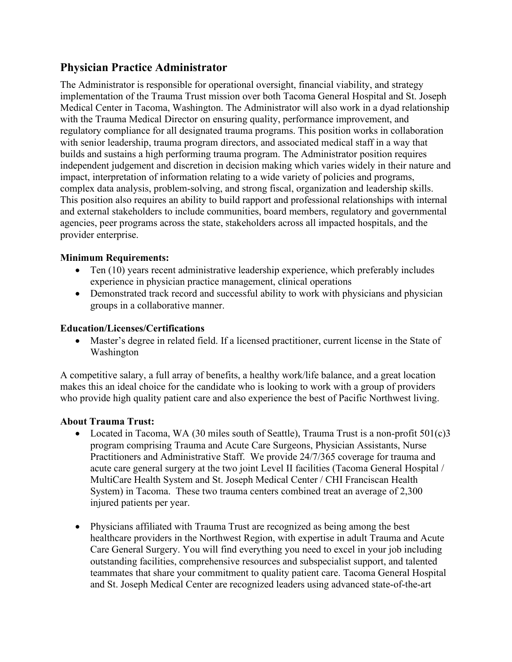## **Physician Practice Administrator**

The Administrator is responsible for operational oversight, financial viability, and strategy implementation of the Trauma Trust mission over both Tacoma General Hospital and St. Joseph Medical Center in Tacoma, Washington. The Administrator will also work in a dyad relationship with the Trauma Medical Director on ensuring quality, performance improvement, and regulatory compliance for all designated trauma programs. This position works in collaboration with senior leadership, trauma program directors, and associated medical staff in a way that builds and sustains a high performing trauma program. The Administrator position requires independent judgement and discretion in decision making which varies widely in their nature and impact, interpretation of information relating to a wide variety of policies and programs, complex data analysis, problem-solving, and strong fiscal, organization and leadership skills. This position also requires an ability to build rapport and professional relationships with internal and external stakeholders to include communities, board members, regulatory and governmental agencies, peer programs across the state, stakeholders across all impacted hospitals, and the provider enterprise.

## **Minimum Requirements:**

- Ten (10) years recent administrative leadership experience, which preferably includes experience in physician practice management, clinical operations
- Demonstrated track record and successful ability to work with physicians and physician groups in a collaborative manner.

## **Education/Licenses/Certifications**

• Master's degree in related field. If a licensed practitioner, current license in the State of Washington

A competitive salary, a full array of benefits, a healthy work/life balance, and a great location makes this an ideal choice for the candidate who is looking to work with a group of providers who provide high quality patient care and also experience the best of Pacific Northwest living.

## **About Trauma Trust:**

- Located in Tacoma, WA (30 miles south of Seattle), Trauma Trust is a non-profit 501(c)3 program comprising Trauma and Acute Care Surgeons, Physician Assistants, Nurse Practitioners and Administrative Staff. We provide 24/7/365 coverage for trauma and acute care general surgery at the two joint Level II facilities (Tacoma General Hospital / MultiCare Health System and St. Joseph Medical Center / CHI Franciscan Health System) in Tacoma. These two trauma centers combined treat an average of 2,300 injured patients per year.
- Physicians affiliated with Trauma Trust are recognized as being among the best healthcare providers in the Northwest Region, with expertise in adult Trauma and Acute Care General Surgery. You will find everything you need to excel in your job including outstanding facilities, comprehensive resources and subspecialist support, and talented teammates that share your commitment to quality patient care. Tacoma General Hospital and St. Joseph Medical Center are recognized leaders using advanced state-of-the-art